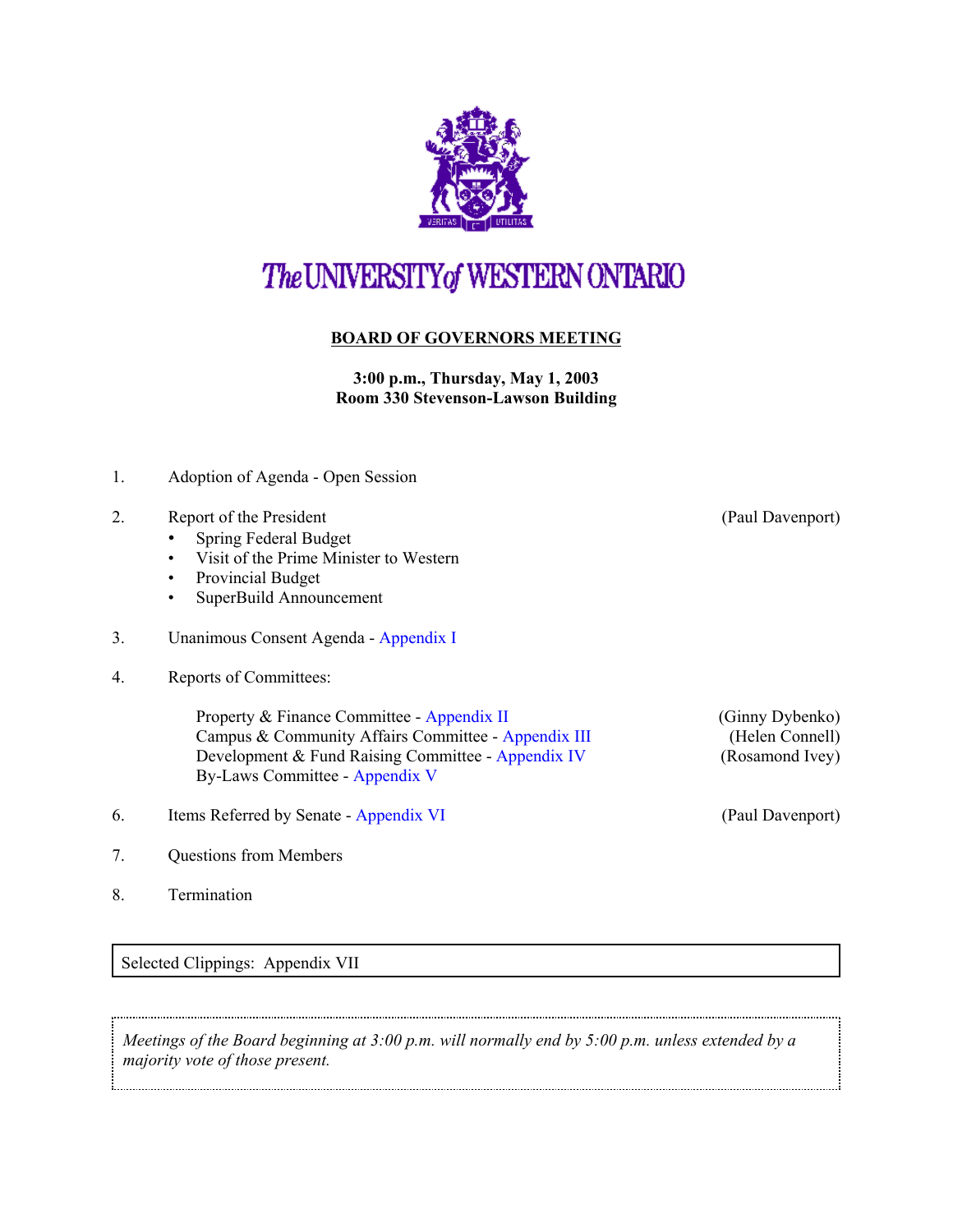

## The UNIVERSITY of WESTERN ONTARIO

## **BOARD OF GOVERNORS MEETING**

**3:00 p.m., Thursday, May 1, 2003 Room 330 Stevenson-Lawson Building**

- 1. Adoption of Agenda Open Session
- 2. Report of the President (Paul Davenport)
	- Spring Federal Budget
	- Visit of the Prime Minister to Western
	- Provincial Budget
	- SuperBuild Announcement
- 3. Unanimous Consent Agenda [Appendix I](http://www.uwo.ca/univsec/board/minutes/2003/r0305consent.pdf)
- 4. Reports of Committees:

Property & Finance Committee - [Appendix II](http://www.uwo.ca/univsec/board/minutes/2003/r0305pf.pdf) (Ginny Dybenko) Campus & Community Affairs Committee - [Appendix III](http://www.uwo.ca/univsec/board/minutes/2003/r0305ccac.pdf) (Helen Connell) Development & Fund Raising Committee - [Appendix IV](http://www.uwo.ca/univsec/board/minutes/2003/r0305dev.pdf) (Rosamond Ivey) By-Laws Committee - [Appendix V](http://www.uwo.ca/univsec/board/minutes/2003/r0305bylaws.pdf)

- 6. Items Referred by Senate [Appendix VI](http://www.uwo.ca/univsec/board/minutes/2003/r0305senate.pdf) (Paul Davenport)
- 7. Questions from Members
- 8. Termination

Selected Clippings: Appendix VII

*Meetings of the Board beginning at 3:00 p.m. will normally end by 5:00 p.m. unless extended by a majority vote of those present.*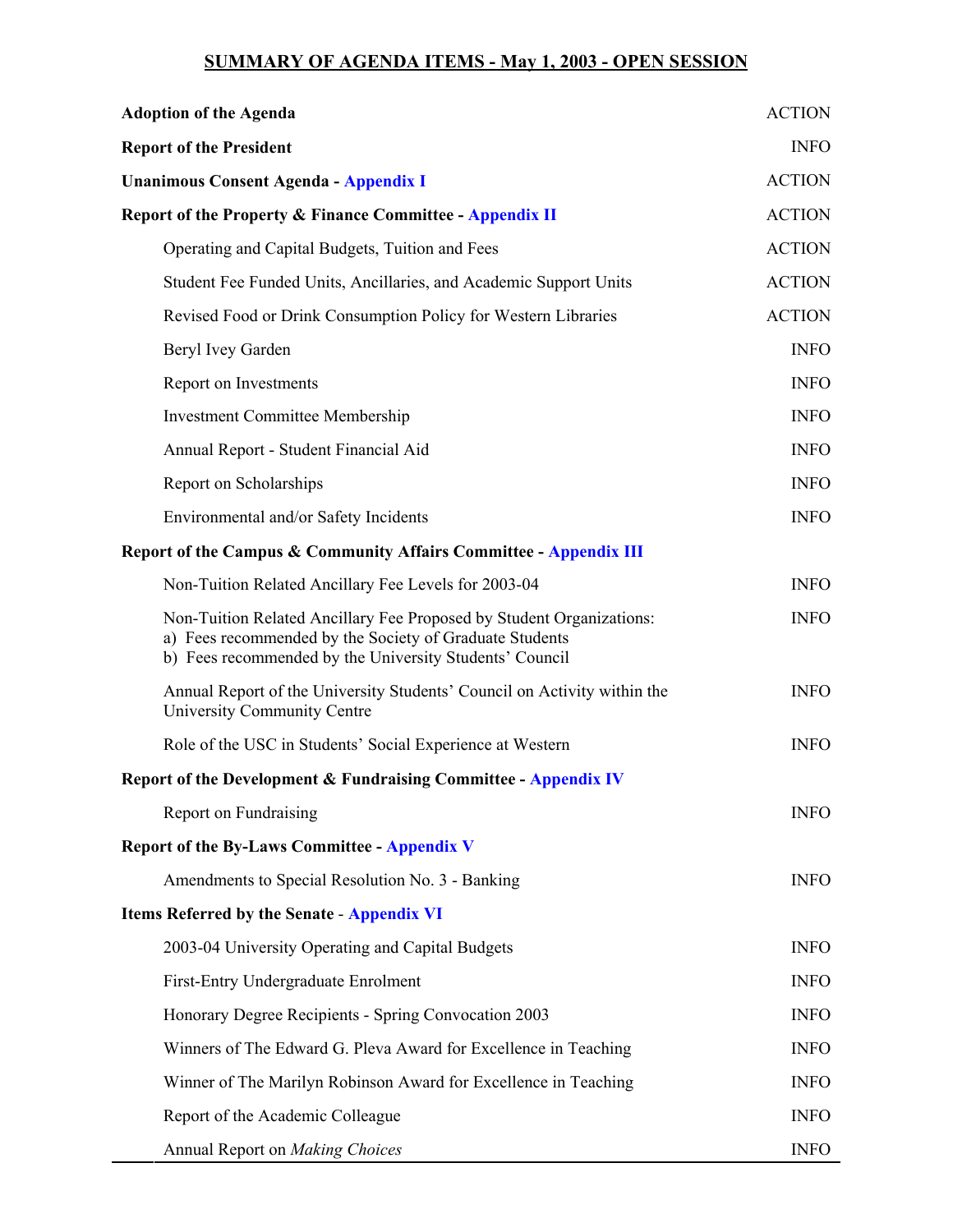## **SUMMARY OF AGENDA ITEMS - May 1, 2003 - OPEN SESSION**

| <b>Adoption of the Agenda</b>                                                                                                                                                              | <b>ACTION</b> |
|--------------------------------------------------------------------------------------------------------------------------------------------------------------------------------------------|---------------|
| <b>Report of the President</b>                                                                                                                                                             | <b>INFO</b>   |
| <b>Unanimous Consent Agenda - Appendix I</b>                                                                                                                                               | <b>ACTION</b> |
| <b>Report of the Property &amp; Finance Committee - Appendix II</b>                                                                                                                        | <b>ACTION</b> |
| Operating and Capital Budgets, Tuition and Fees                                                                                                                                            | <b>ACTION</b> |
| Student Fee Funded Units, Ancillaries, and Academic Support Units                                                                                                                          | <b>ACTION</b> |
| Revised Food or Drink Consumption Policy for Western Libraries                                                                                                                             | <b>ACTION</b> |
| Beryl Ivey Garden                                                                                                                                                                          | <b>INFO</b>   |
| Report on Investments                                                                                                                                                                      | <b>INFO</b>   |
| <b>Investment Committee Membership</b>                                                                                                                                                     | <b>INFO</b>   |
| Annual Report - Student Financial Aid                                                                                                                                                      | <b>INFO</b>   |
| Report on Scholarships                                                                                                                                                                     | <b>INFO</b>   |
| Environmental and/or Safety Incidents                                                                                                                                                      | <b>INFO</b>   |
| Report of the Campus & Community Affairs Committee - Appendix III                                                                                                                          |               |
| Non-Tuition Related Ancillary Fee Levels for 2003-04                                                                                                                                       | <b>INFO</b>   |
| Non-Tuition Related Ancillary Fee Proposed by Student Organizations:<br>a) Fees recommended by the Society of Graduate Students<br>b) Fees recommended by the University Students' Council | <b>INFO</b>   |
| Annual Report of the University Students' Council on Activity within the<br>University Community Centre                                                                                    | <b>INFO</b>   |
| Role of the USC in Students' Social Experience at Western                                                                                                                                  | <b>INFO</b>   |
| <b>Report of the Development &amp; Fundraising Committee - Appendix IV</b>                                                                                                                 |               |
| Report on Fundraising                                                                                                                                                                      | <b>INFO</b>   |
| <b>Report of the By-Laws Committee - Appendix V</b>                                                                                                                                        |               |
| Amendments to Special Resolution No. 3 - Banking                                                                                                                                           | <b>INFO</b>   |
| <b>Items Referred by the Senate - Appendix VI</b>                                                                                                                                          |               |
| 2003-04 University Operating and Capital Budgets                                                                                                                                           | <b>INFO</b>   |
| First-Entry Undergraduate Enrolment                                                                                                                                                        | <b>INFO</b>   |
| Honorary Degree Recipients - Spring Convocation 2003                                                                                                                                       | <b>INFO</b>   |
| Winners of The Edward G. Pleva Award for Excellence in Teaching                                                                                                                            | <b>INFO</b>   |
| Winner of The Marilyn Robinson Award for Excellence in Teaching                                                                                                                            | <b>INFO</b>   |
| Report of the Academic Colleague                                                                                                                                                           | <b>INFO</b>   |
| Annual Report on Making Choices                                                                                                                                                            | <b>INFO</b>   |